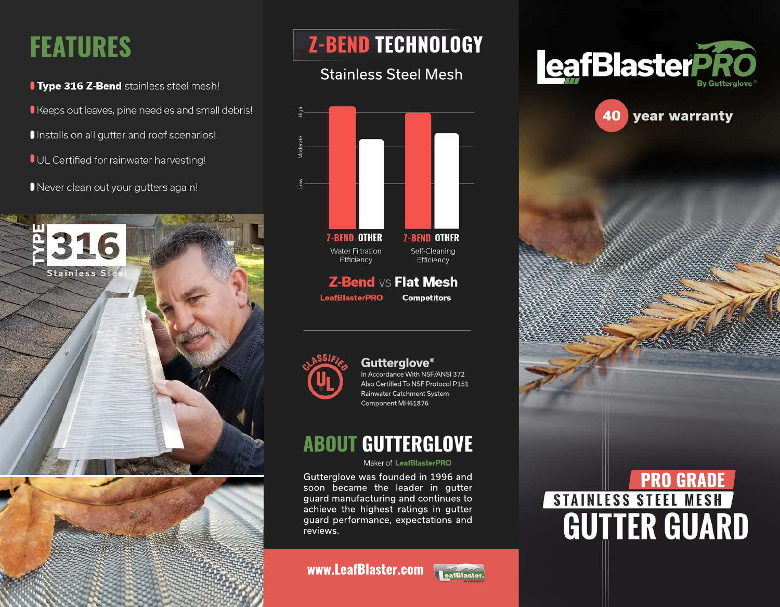# **FEATURES**

**Type 316 Z-Bend** stainless steel mesh!

Keeps out leaves, pine needles and small debris!

Installs on all gutter and roof scenarios!

**OUL Certified for rainwater harvesting!** 

Never clean out your gutters again!





# **Z-BEND TECHNOLOGY**

## Stainless Steel Mesh



#### **Gutterglove®** In Accordance With NSF/ANSI 372 Also Certified To NSF Protocol P151 Rainwater Catchment System

Component MH61876

## **ABOUT GUTTERGLOVE**

#### Maker of **LeafBlasterPRO**

Gutterglove was founded in 1996 and soon became the leader in gutter guard manufacturing and continues to achieve the highest ratings in gutter guard performance, expectations and reviews.

#### **www.LeafBlaster.com**







# **PRO GRADE**<br> **PRO GRADE**<br> **GUTTER GUARD**